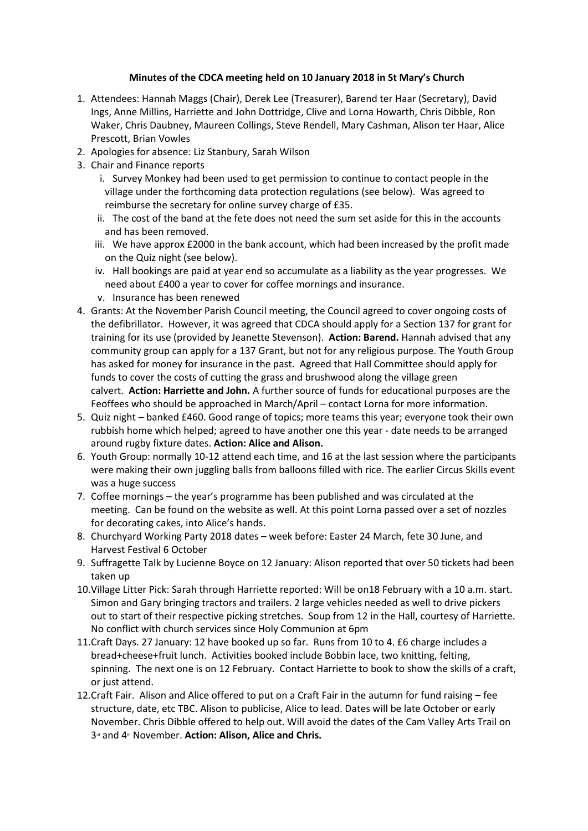## **Minutes of the CDCA meeting held on 10 January 2018 in St Mary's Church**

- 1. Attendees: Hannah Maggs (Chair), Derek Lee (Treasurer), Barend ter Haar (Secretary), David Ings, Anne Millins, Harriette and John Dottridge, Clive and Lorna Howarth, Chris Dibble, Ron Waker, Chris Daubney, Maureen Collings, Steve Rendell, Mary Cashman, Alison ter Haar, Alice Prescott, Brian Vowles
- 2. Apologies for absence: Liz Stanbury, Sarah Wilson
- 3. Chair and Finance reports
	- i. Survey Monkey had been used to get permission to continue to contact people in the village under the forthcoming data protection regulations (see below). Was agreed to reimburse the secretary for online survey charge of £35.
	- ii. The cost of the band at the fete does not need the sum set aside for this in the accounts and has been removed.
	- iii. We have approx £2000 in the bank account, which had been increased by the profit made on the Quiz night (see below).
	- iv. Hall bookings are paid at year end so accumulate as a liability as the year progresses. We need about £400 a year to cover for coffee mornings and insurance.
	- v. Insurance has been renewed
- 4. Grants: At the November Parish Council meeting, the Council agreed to cover ongoing costs of the defibrillator. However, it was agreed that CDCA should apply for a Section 137 for grant for training for its use (provided by Jeanette Stevenson). **Action: Barend.** Hannah advised that any community group can apply for a 137 Grant, but not for any religious purpose. The Youth Group has asked for money for insurance in the past. Agreed that Hall Committee should apply for funds to cover the costs of cutting the grass and brushwood along the village green calvert. **Action: Harriette and John.** A further source of funds for educational purposes are the Feoffees who should be approached in March/April – contact Lorna for more information.
- 5. Quiz night banked £460. Good range of topics; more teams this year; everyone took their own rubbish home which helped; agreed to have another one this year - date needs to be arranged around rugby fixture dates. **Action: Alice and Alison.**
- 6. Youth Group: normally 10-12 attend each time, and 16 at the last session where the participants were making their own juggling balls from balloons filled with rice. The earlier Circus Skills event was a huge success
- 7. Coffee mornings the year's programme has been published and was circulated at the meeting. Can be found on the website as well. At this point Lorna passed over a set of nozzles for decorating cakes, into Alice's hands.
- 8. Churchyard Working Party 2018 dates week before: Easter 24 March, fete 30 June, and Harvest Festival 6 October
- 9. Suffragette Talk by Lucienne Boyce on 12 January: Alison reported that over 50 tickets had been taken up
- 10.Village Litter Pick: Sarah through Harriette reported: Will be on18 February with a 10 a.m. start. Simon and Gary bringing tractors and trailers. 2 large vehicles needed as well to drive pickers out to start of their respective picking stretches. Soup from 12 in the Hall, courtesy of Harriette. No conflict with church services since Holy Communion at 6pm
- 11.Craft Days. 27 January: 12 have booked up so far. Runs from 10 to 4. £6 charge includes a bread+cheese+fruit lunch. Activities booked include Bobbin lace, two knitting, felting, spinning. The next one is on 12 February. Contact Harriette to book to show the skills of a craft, or just attend.
- 12.Craft Fair. Alison and Alice offered to put on a Craft Fair in the autumn for fund raising fee structure, date, etc TBC. Alison to publicise, Alice to lead. Dates will be late October or early November. Chris Dibble offered to help out. Will avoid the dates of the Cam Valley Arts Trail on 3<sup>d</sup> and 4<sup>th</sup> November. Action: Alison, Alice and Chris.